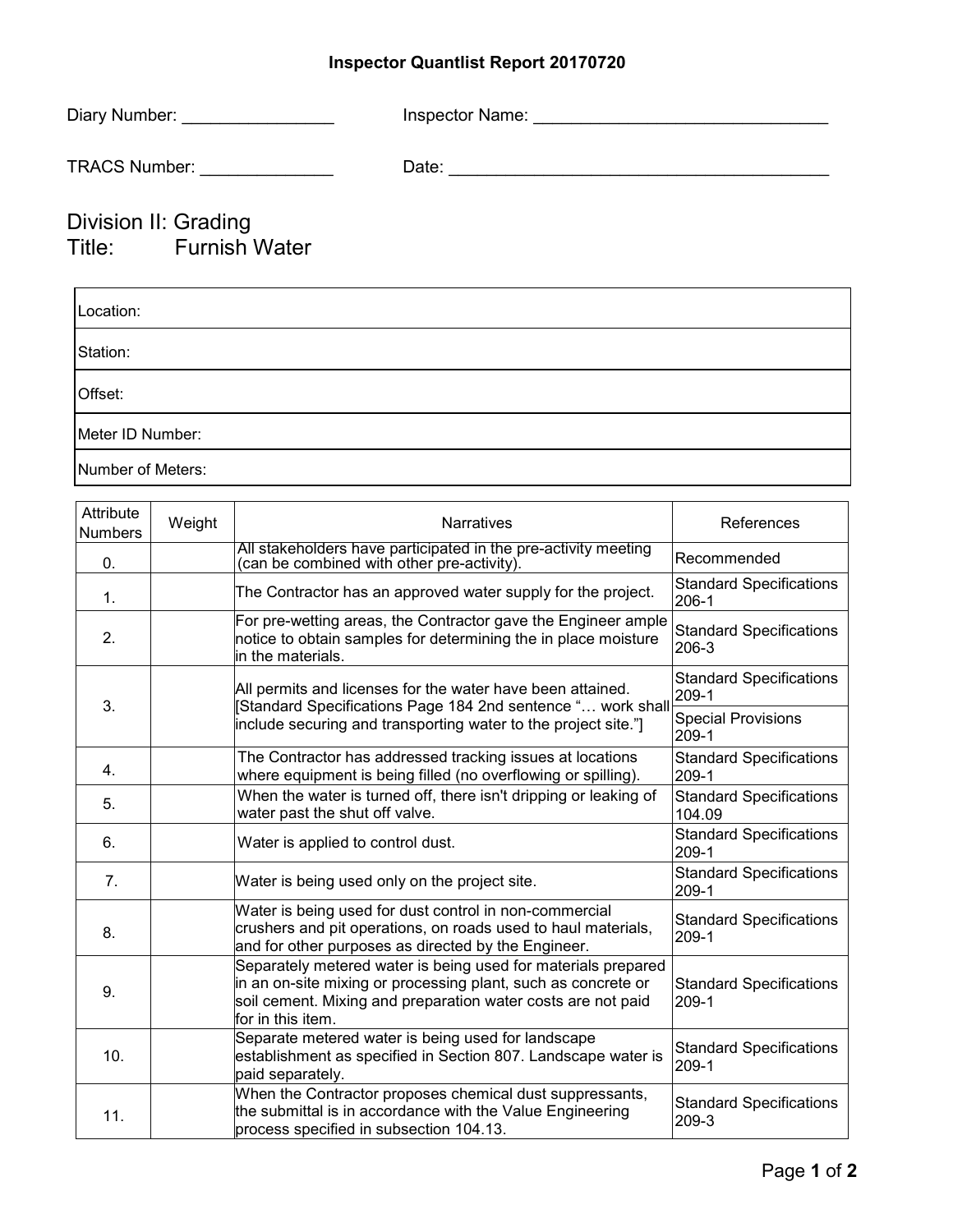## **Inspector Quantlist Report 20170720**

| Diary Number: __________________             |  |
|----------------------------------------------|--|
| TRACS Number: _______________                |  |
| Division II: Grading<br>Title: Furnish Water |  |
| Location:                                    |  |
| Station:                                     |  |
| Offset:                                      |  |
| Meter ID Number:                             |  |

Number of Meters:

| Attribute<br><b>Numbers</b> | Weight | <b>Narratives</b>                                                                                                                                                                                                   | References                                |
|-----------------------------|--------|---------------------------------------------------------------------------------------------------------------------------------------------------------------------------------------------------------------------|-------------------------------------------|
| 0.                          |        | All stakeholders have participated in the pre-activity meeting<br>(can be combined with other pre-activity).                                                                                                        | Recommended                               |
| 1.                          |        | The Contractor has an approved water supply for the project.                                                                                                                                                        | <b>Standard Specifications</b><br>$206-1$ |
| 2.                          |        | For pre-wetting areas, the Contractor gave the Engineer ample<br>notice to obtain samples for determining the in place moisture<br>in the materials.                                                                | <b>Standard Specifications</b><br>206-3   |
| 3.                          |        | All permits and licenses for the water have been attained.                                                                                                                                                          | <b>Standard Specifications</b><br>209-1   |
|                             |        | Standard Specifications Page 184 2nd sentence " work shall<br>include securing and transporting water to the project site."                                                                                         | <b>Special Provisions</b><br>$209-1$      |
| 4.                          |        | The Contractor has addressed tracking issues at locations<br>where equipment is being filled (no overflowing or spilling).                                                                                          | <b>Standard Specifications</b><br>209-1   |
| 5.                          |        | When the water is turned off, there isn't dripping or leaking of<br>water past the shut off valve.                                                                                                                  | <b>Standard Specifications</b><br>104.09  |
| 6.                          |        | Water is applied to control dust.                                                                                                                                                                                   | <b>Standard Specifications</b><br>209-1   |
| 7.                          |        | Water is being used only on the project site.                                                                                                                                                                       | <b>Standard Specifications</b><br>$209-1$ |
| 8.                          |        | Water is being used for dust control in non-commercial<br>crushers and pit operations, on roads used to haul materials,<br>and for other purposes as directed by the Engineer.                                      | <b>Standard Specifications</b><br>$209-1$ |
| 9.                          |        | Separately metered water is being used for materials prepared<br>in an on-site mixing or processing plant, such as concrete or<br>soil cement. Mixing and preparation water costs are not paid<br>for in this item. | <b>Standard Specifications</b><br>209-1   |
| 10.                         |        | Separate metered water is being used for landscape<br>establishment as specified in Section 807. Landscape water is<br>paid separately.                                                                             | <b>Standard Specifications</b><br>$209-1$ |
| 11.                         |        | When the Contractor proposes chemical dust suppressants,<br>the submittal is in accordance with the Value Engineering<br>process specified in subsection 104.13.                                                    | <b>Standard Specifications</b><br>209-3   |